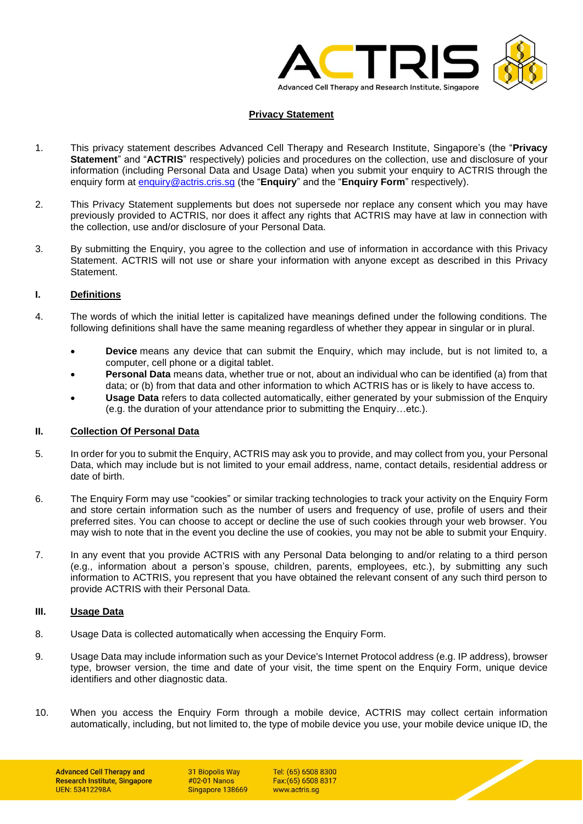

# **Privacy Statement**

- 1. This privacy statement describes Advanced Cell Therapy and Research Institute, Singapore's (the "**Privacy Statement**" and "**ACTRIS**" respectively) policies and procedures on the collection, use and disclosure of your information (including Personal Data and Usage Data) when you submit your enquiry to ACTRIS through the enquiry form at [enquiry@actris.cris.sg](mailto:enquiry@actris.cris.sg) (the "**Enquiry**" and the "**Enquiry Form**" respectively).
- 2. This Privacy Statement supplements but does not supersede nor replace any consent which you may have previously provided to ACTRIS, nor does it affect any rights that ACTRIS may have at law in connection with the collection, use and/or disclosure of your Personal Data.
- 3. By submitting the Enquiry, you agree to the collection and use of information in accordance with this Privacy Statement. ACTRIS will not use or share your information with anyone except as described in this Privacy Statement.

# **I. Definitions**

- 4. The words of which the initial letter is capitalized have meanings defined under the following conditions. The following definitions shall have the same meaning regardless of whether they appear in singular or in plural.
	- **Device** means any device that can submit the Enquiry, which may include, but is not limited to, a computer, cell phone or a digital tablet.
	- **Personal Data** means data, whether true or not, about an individual who can be identified (a) from that data; or (b) from that data and other information to which ACTRIS has or is likely to have access to.
	- **Usage Data** refers to data collected automatically, either generated by your submission of the Enquiry (e.g. the duration of your attendance prior to submitting the Enquiry…etc.).

#### **II. Collection Of Personal Data**

- 5. In order for you to submit the Enquiry, ACTRIS may ask you to provide, and may collect from you, your Personal Data, which may include but is not limited to your email address, name, contact details, residential address or date of birth.
- 6. The Enquiry Form may use "cookies" or similar tracking technologies to track your activity on the Enquiry Form and store certain information such as the number of users and frequency of use, profile of users and their preferred sites. You can choose to accept or decline the use of such cookies through your web browser. You may wish to note that in the event you decline the use of cookies, you may not be able to submit your Enquiry.
- 7. In any event that you provide ACTRIS with any Personal Data belonging to and/or relating to a third person (e.g., information about a person's spouse, children, parents, employees, etc.), by submitting any such information to ACTRIS, you represent that you have obtained the relevant consent of any such third person to provide ACTRIS with their Personal Data.

#### **III. Usage Data**

- 8. Usage Data is collected automatically when accessing the Enquiry Form.
- 9. Usage Data may include information such as your Device's Internet Protocol address (e.g. IP address), browser type, browser version, the time and date of your visit, the time spent on the Enquiry Form, unique device identifiers and other diagnostic data.
- 10. When you access the Enquiry Form through a mobile device, ACTRIS may collect certain information automatically, including, but not limited to, the type of mobile device you use, your mobile device unique ID, the

31 Biopolis Way #02-01 Nanos Singapore 138669

Tel: (65) 6508 8300 Fax: (65) 6508 8317 www.actris.so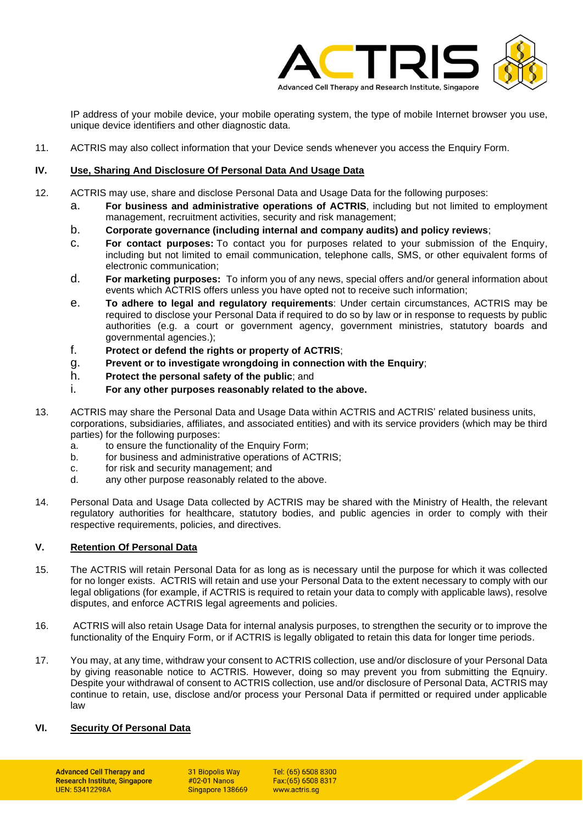

IP address of your mobile device, your mobile operating system, the type of mobile Internet browser you use, unique device identifiers and other diagnostic data.

11. ACTRIS may also collect information that your Device sends whenever you access the Enquiry Form.

### **IV. Use, Sharing And Disclosure Of Personal Data And Usage Data**

- 12. ACTRIS may use, share and disclose Personal Data and Usage Data for the following purposes:
	- a. **For business and administrative operations of ACTRIS**, including but not limited to employment management, recruitment activities, security and risk management;
	- b. **Corporate governance (including internal and company audits) and policy reviews**;
	- c. **For contact purposes:** To contact you for purposes related to your submission of the Enquiry, including but not limited to email communication, telephone calls, SMS, or other equivalent forms of electronic communication;
	- d. **For marketing purposes:** To inform you of any news, special offers and/or general information about events which ACTRIS offers unless you have opted not to receive such information;
	- e. **To adhere to legal and regulatory requirements**: Under certain circumstances, ACTRIS may be required to disclose your Personal Data if required to do so by law or in response to requests by public authorities (e.g. a court or government agency, government ministries, statutory boards and governmental agencies.);
	- f. **Protect or defend the rights or property of ACTRIS**;
	- g. **Prevent or to investigate wrongdoing in connection with the Enquiry**;
	- h. **Protect the personal safety of the public**; and
	- i. **For any other purposes reasonably related to the above.**
- 13. ACTRIS may share the Personal Data and Usage Data within ACTRIS and ACTRIS' related business units, corporations, subsidiaries, affiliates, and associated entities) and with its service providers (which may be third parties) for the following purposes:
	- a. to ensure the functionality of the Enquiry Form;
	- b. for business and administrative operations of ACTRIS;
	- c. for risk and security management; and
	- d. any other purpose reasonably related to the above.
- 14. Personal Data and Usage Data collected by ACTRIS may be shared with the Ministry of Health, the relevant regulatory authorities for healthcare, statutory bodies, and public agencies in order to comply with their respective requirements, policies, and directives.

## **V. Retention Of Personal Data**

- 15. The ACTRIS will retain Personal Data for as long as is necessary until the purpose for which it was collected for no longer exists. ACTRIS will retain and use your Personal Data to the extent necessary to comply with our legal obligations (for example, if ACTRIS is required to retain your data to comply with applicable laws), resolve disputes, and enforce ACTRIS legal agreements and policies.
- 16. ACTRIS will also retain Usage Data for internal analysis purposes, to strengthen the security or to improve the functionality of the Enquiry Form, or if ACTRIS is legally obligated to retain this data for longer time periods.
- 17. You may, at any time, withdraw your consent to ACTRIS collection, use and/or disclosure of your Personal Data by giving reasonable notice to ACTRIS. However, doing so may prevent you from submitting the Eqnuiry. Despite your withdrawal of consent to ACTRIS collection, use and/or disclosure of Personal Data, ACTRIS may continue to retain, use, disclose and/or process your Personal Data if permitted or required under applicable law

#### **VI. Security Of Personal Data**

**Advanced Cell Therapy and Research Institute, Singapore UFN: 53412298A** 

31 Biopolis Way #02-01 Nanos Singapore 138669

Tel: (65) 6508 8300 Fax: (65) 6508 8317 www.actris.so